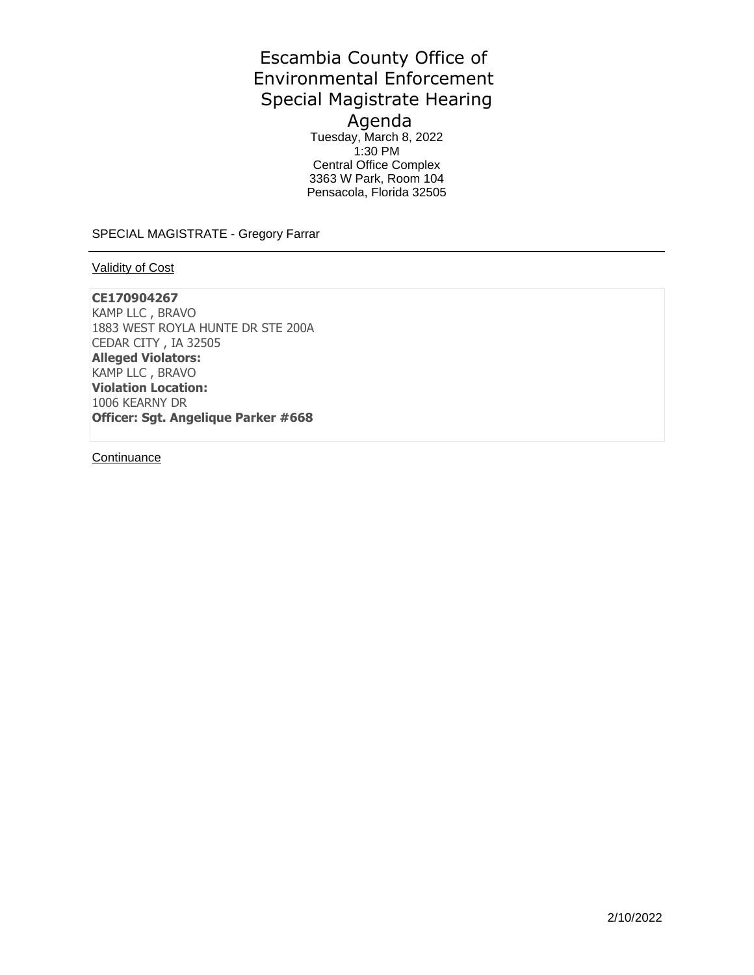# Escambia County Office of Environmental Enforcement Special Magistrate Hearing Agenda

Tuesday, March 8, 2022 1:30 PM Central Office Complex 3363 W Park, Room 104 Pensacola, Florida 32505

SPECIAL MAGISTRATE - Gregory Farrar

## Validity of Cost

## **CE170904267**

KAMP LLC , BRAVO 1883 WEST ROYLA HUNTE DR STE 200A CEDAR CITY , IA 32505 **Alleged Violators:**  KAMP LLC , BRAVO **Violation Location:**  1006 KEARNY DR **Officer: Sgt. Angelique Parker #668** 

**Continuance**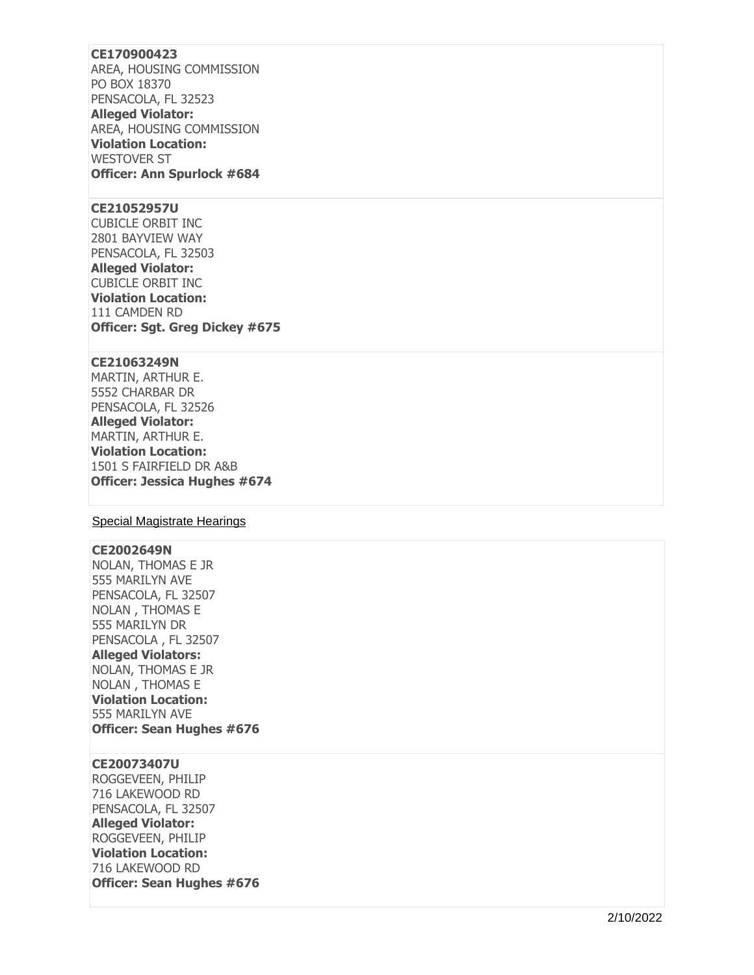## **CE170900423**

AREA, HOUSING COMMISSION PO BOX 18370 PENSACOLA, FL 32523

**Alleged Violator:**  AREA, HOUSING COMMISSION **Violation Location:**  WESTOVER ST **Officer: Ann Spurlock #684** 

#### **CE21052957U**

CUBICLE ORBIT INC 2801 BAYVIEW WAY PENSACOLA, FL 32503 **Alleged Violator:**  CUBICLE ORBIT INC **Violation Location:**  111 CAMDEN RD **Officer: Sgt. Greg Dickey #675** 

## **CE21063249N**

MARTIN, ARTHUR E. 5552 CHARBAR DR PENSACOLA, FL 32526 **Alleged Violator:**  MARTIN, ARTHUR E. **Violation Location:**  1501 S FAIRFIELD DR A&B **Officer: Jessica Hughes #674** 

## Special Magistrate Hearings

#### **CE2002649N**

NOLAN, THOMAS E JR 555 MARILYN AVE PENSACOLA, FL 32507 NOLAN , THOMAS E 555 MARILYN DR PENSACOLA , FL 32507 **Alleged Violators:**  NOLAN, THOMAS E JR NOLAN , THOMAS E **Violation Location:**  555 MARILYN AVE **Officer: Sean Hughes #676** 

#### **CE20073407U**

ROGGEVEEN, PHILIP 716 LAKEWOOD RD PENSACOLA, FL 32507 **Alleged Violator:**  ROGGEVEEN, PHILIP **Violation Location:**  716 LAKEWOOD RD **Officer: Sean Hughes #676**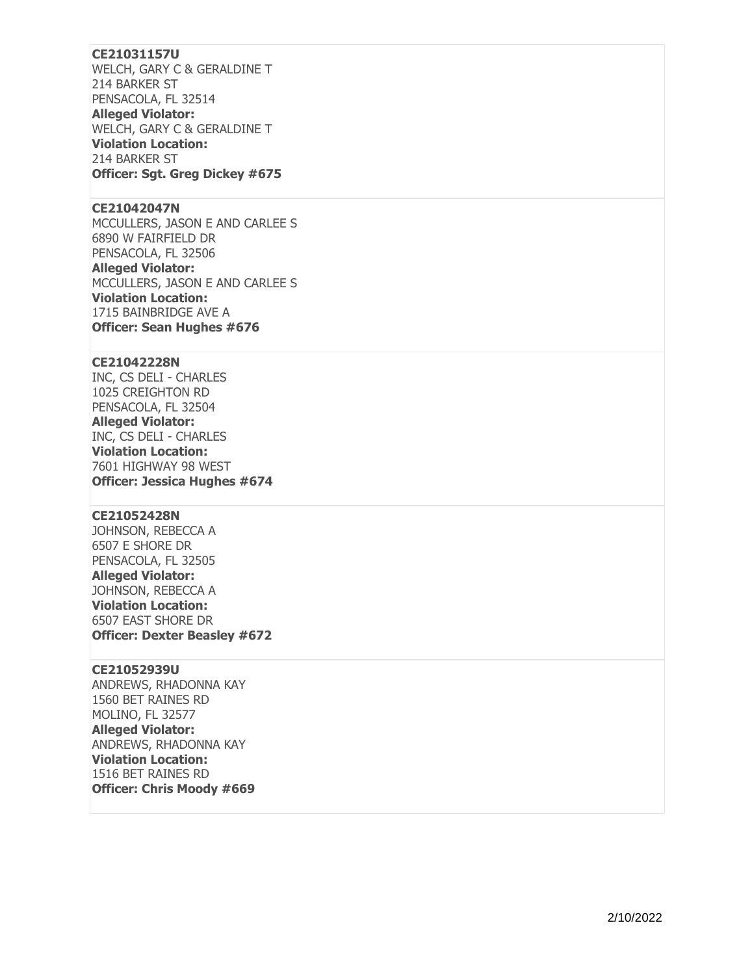## **CE21031157U**

WELCH, GARY C & GERALDINE T 214 BARKER ST PENSACOLA, FL 32514 **Alleged Violator:**  WELCH, GARY C & GERALDINE T **Violation Location:**  214 BARKER ST **Officer: Sgt. Greg Dickey #675** 

#### **CE21042047N**

MCCULLERS, JASON E AND CARLEE S 6890 W FAIRFIELD DR PENSACOLA, FL 32506 **Alleged Violator:**  MCCULLERS, JASON E AND CARLEE S **Violation Location:**  1715 BAINBRIDGE AVE A **Officer: Sean Hughes #676** 

#### **CE21042228N**

INC, CS DELI - CHARLES 1025 CREIGHTON RD PENSACOLA, FL 32504 **Alleged Violator:**  INC, CS DELI - CHARLES **Violation Location:**  7601 HIGHWAY 98 WEST **Officer: Jessica Hughes #674** 

## **CE21052428N**

JOHNSON, REBECCA A 6507 E SHORE DR PENSACOLA, FL 32505 **Alleged Violator:**  JOHNSON, REBECCA A **Violation Location:**  6507 EAST SHORE DR **Officer: Dexter Beasley #672** 

#### **CE21052939U**

ANDREWS, RHADONNA KAY 1560 BET RAINES RD MOLINO, FL 32577 **Alleged Violator:**  ANDREWS, RHADONNA KAY **Violation Location:**  1516 BET RAINES RD **Officer: Chris Moody #669**